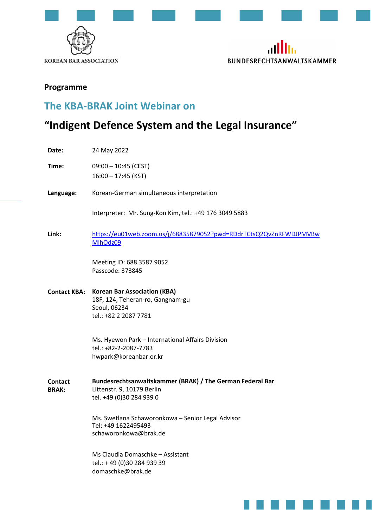



### Programme

## The KBA-BRAK Joint Webinar on

# "Indigent Defence System and the Legal Insurance"

Date: 24 May 2022

Time: 09:00 – 10:45 (CEST) 16:00 – 17:45 (KST)

Language: Korean-German simultaneous interpretation

Interpreter: Mr. Sung-Kon Kim, tel.: +49 176 3049 5883

Link: https://eu01web.zoom.us/j/68835879052?pwd=RDdrTCtsQ2QvZnRFWDJPMVBw MlhOdz09

> Meeting ID: 688 3587 9052 Passcode: 373845

Contact KBA: Korean Bar Association (KBA) 18F, 124, Teheran-ro, Gangnam-gu Seoul, 06234 tel.: +82 2 2087 7781

> Ms. Hyewon Park – International Affairs Division tel.: +82-2-2087-7783 hwpark@koreanbar.or.kr

**Contact** BRAK: Bundesrechtsanwaltskammer (BRAK) / The German Federal Bar Littenstr. 9, 10179 Berlin tel. +49 (0)30 284 939 0

> Ms. Swetlana Schaworonkowa – Senior Legal Advisor Tel: +49 1622495493 schaworonkowa@brak.de

Ms Claudia Domaschke – Assistant tel.: + 49 (0)30 284 939 39 domaschke@brak.de